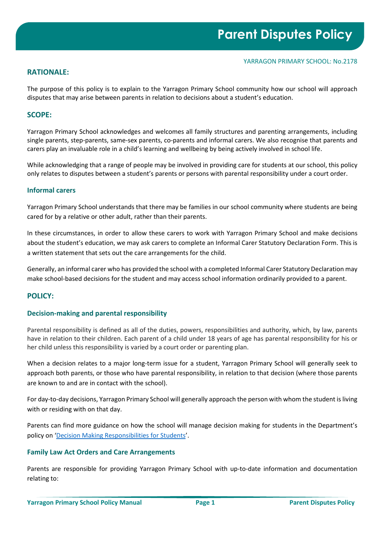## **RATIONALE:**

The purpose of this policy is to explain to the Yarragon Primary School community how our school will approach disputes that may arise between parents in relation to decisions about a student's education.

## **SCOPE:**

Yarragon Primary School acknowledges and welcomes all family structures and parenting arrangements, including single parents, step-parents, same-sex parents, co-parents and informal carers. We also recognise that parents and carers play an invaluable role in a child's learning and wellbeing by being actively involved in school life.

While acknowledging that a range of people may be involved in providing care for students at our school, this policy only relates to disputes between a student's parents or persons with parental responsibility under a court order.

## **Informal carers**

Yarragon Primary School understands that there may be families in our school community where students are being cared for by a relative or other adult, rather than their parents.

In these circumstances, in order to allow these carers to work with Yarragon Primary School and make decisions about the student's education, we may ask carers to complete an Informal Carer Statutory Declaration Form. This is a written statement that sets out the care arrangements for the child.

Generally, an informal carer who has provided the school with a completed Informal Carer Statutory Declaration may make school-based decisions for the student and may access school information ordinarily provided to a parent.

# **POLICY:**

## **Decision-making and parental responsibility**

Parental responsibility is defined as all of the duties, powers, responsibilities and authority, which, by law, parents have in relation to their children. Each parent of a child under 18 years of age has parental responsibility for his or her child unless this responsibility is varied by a court order or parenting plan.

When a decision relates to a major long-term issue for a student, Yarragon Primary School will generally seek to approach both parents, or those who have parental responsibility, in relation to that decision (where those parents are known to and are in contact with the school).

For day-to-day decisions, Yarragon Primary School will generally approach the person with whom the student is living with or residing with on that day.

Parents can find more guidance on how the school will manage decision making for students in the Department's policy on ['Decision Making Responsibilities for Students'](https://www2.education.vic.gov.au/pal/decision-making-responsibilities-students/policy).

# **Family Law Act Orders and Care Arrangements**

Parents are responsible for providing Yarragon Primary School with up-to-date information and documentation relating to: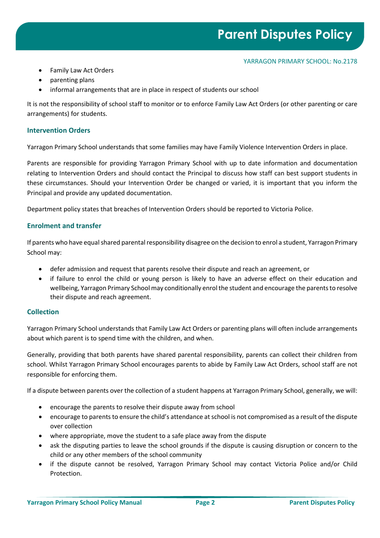- Family Law Act Orders
- parenting plans
- informal arrangements that are in place in respect of students our school

It is not the responsibility of school staff to monitor or to enforce Family Law Act Orders (or other parenting or care arrangements) for students.

## **Intervention Orders**

Yarragon Primary School understands that some families may have Family Violence Intervention Orders in place.

Parents are responsible for providing Yarragon Primary School with up to date information and documentation relating to Intervention Orders and should contact the Principal to discuss how staff can best support students in these circumstances. Should your Intervention Order be changed or varied, it is important that you inform the Principal and provide any updated documentation.

Department policy states that breaches of Intervention Orders should be reported to Victoria Police.

## **Enrolment and transfer**

If parents who have equal shared parental responsibility disagree on the decision to enrol a student, Yarragon Primary School may:

- defer admission and request that parents resolve their dispute and reach an agreement, or
- if failure to enrol the child or young person is likely to have an adverse effect on their education and wellbeing, Yarragon Primary School may conditionally enrol the student and encourage the parents to resolve their dispute and reach agreement.

## **Collection**

Yarragon Primary School understands that Family Law Act Orders or parenting plans will often include arrangements about which parent is to spend time with the children, and when.

Generally, providing that both parents have shared parental responsibility, parents can collect their children from school. Whilst Yarragon Primary School encourages parents to abide by Family Law Act Orders, school staff are not responsible for enforcing them.

If a dispute between parents over the collection of a student happens at Yarragon Primary School, generally, we will:

- encourage the parents to resolve their dispute away from school
- encourage to parents to ensure the child's attendance at school is not compromised as a result of the dispute over collection
- where appropriate, move the student to a safe place away from the dispute
- ask the disputing parties to leave the school grounds if the dispute is causing disruption or concern to the child or any other members of the school community
- if the dispute cannot be resolved, Yarragon Primary School may contact Victoria Police and/or Child Protection.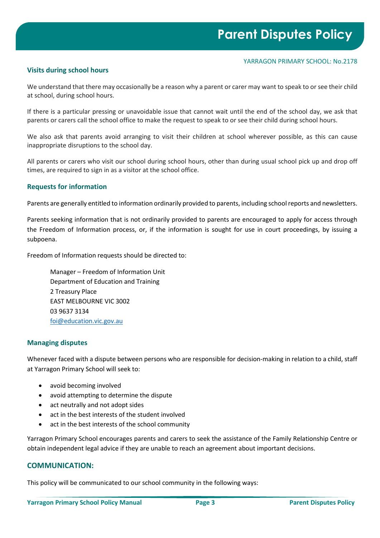#### YARRAGON PRIMARY SCHOOL: No.2178

# **Visits during school hours**

We understand that there may occasionally be a reason why a parent or carer may want to speak to or see their child at school, during school hours.

If there is a particular pressing or unavoidable issue that cannot wait until the end of the school day, we ask that parents or carers call the school office to make the request to speak to or see their child during school hours.

We also ask that parents avoid arranging to visit their children at school wherever possible, as this can cause inappropriate disruptions to the school day.

All parents or carers who visit our school during school hours, other than during usual school pick up and drop off times, are required to sign in as a visitor at the school office.

## **Requests for information**

Parents are generally entitled to information ordinarily provided to parents, including school reports and newsletters.

Parents seeking information that is not ordinarily provided to parents are encouraged to apply for access through the Freedom of Information process, or, if the information is sought for use in court proceedings, by issuing a subpoena.

Freedom of Information requests should be directed to:

Manager – Freedom of Information Unit Department of Education and Training 2 Treasury Place EAST MELBOURNE VIC 3002 03 9637 3134 [foi@education.vic.gov.au](mailto:foi@education.vic.gov.au)

## **Managing disputes**

Whenever faced with a dispute between persons who are responsible for decision-making in relation to a child, staff at Yarragon Primary School will seek to:

- avoid becoming involved
- avoid attempting to determine the dispute
- act neutrally and not adopt sides
- act in the best interests of the student involved
- act in the best interests of the school community

Yarragon Primary School encourages parents and carers to seek the assistance of the Family Relationship Centre or obtain independent legal advice if they are unable to reach an agreement about important decisions.

# **COMMUNICATION:**

This policy will be communicated to our school community in the following ways: